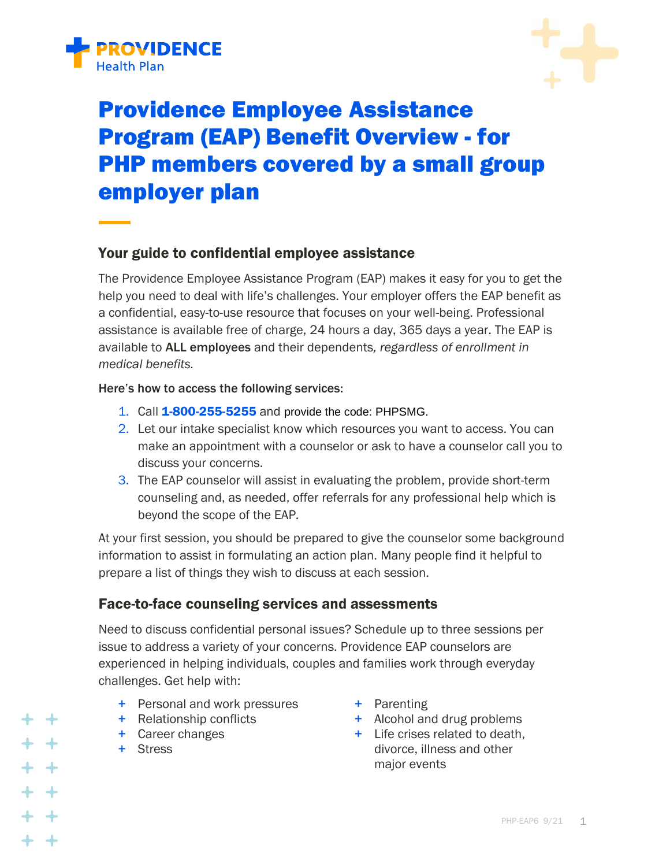



# Providence Employee Assistance Program (EAP) Benefit Overview - for PHP members covered by a small group employer plan

#### Your guide to confidential employee assistance

The Providence Employee Assistance Program (EAP) makes it easy for you to get the help you need to deal with life's challenges. Your employer offers the EAP benefit as a confidential, easy-to-use resource that focuses on your well-being. Professional assistance is available free of charge, 24 hours a day, 365 days a year. The EAP is available to ALL employees and their dependents*, regardless of enrollment in medical benefits.*

#### Here's how to access the following services:

- 1. Call 1-800-255-5255 and provide the code: PHPSMG.
- 2. Let our intake specialist know which resources you want to access. You can make an appointment with a counselor or ask to have a counselor call you to discuss your concerns.
- 3. The EAP counselor will assist in evaluating the problem, provide short-term counseling and, as needed, offer referrals for any professional help which is beyond the scope of the EAP*.*

At your first session, you should be prepared to give the counselor some background information to assist in formulating an action plan. Many people find it helpful to prepare a list of things they wish to discuss at each session.

#### Face-to-face counseling services and assessments

Need to discuss confidential personal issues? Schedule up to three sessions per issue to address a variety of your concerns. Providence EAP counselors are experienced in helping individuals, couples and families work through everyday challenges. Get help with:

- + Personal and work pressures
- + Relationship conflicts
- + Career changes
- + Stress

+ +

- + Parenting
- + Alcohol and drug problems
- + Life crises related to death, divorce, illness and other major events